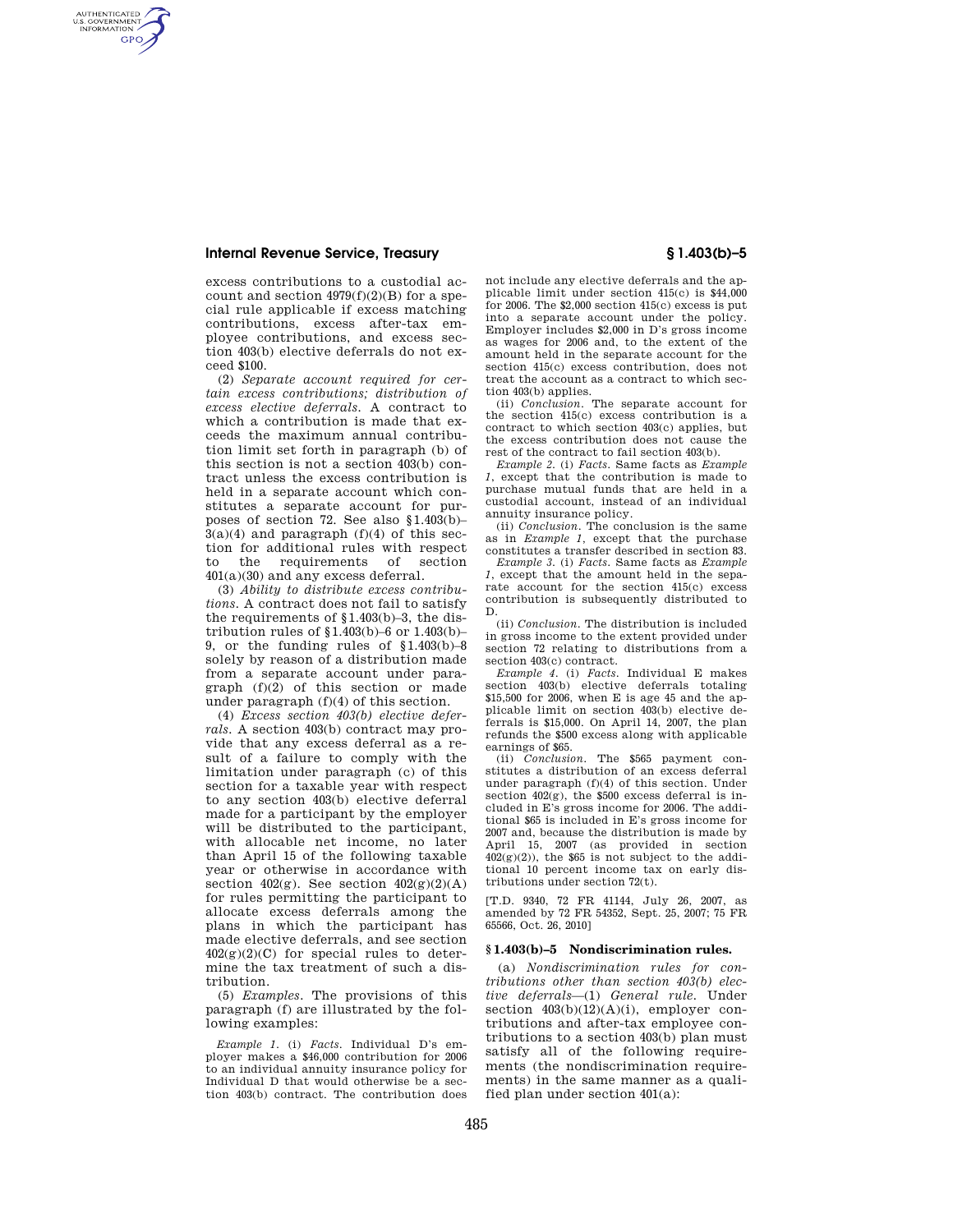# **Internal Revenue Service, Treasury § 1.403(b)–5**

AUTHENTICATED<br>U.S. GOVERNMENT<br>INFORMATION **GPO** 

> excess contributions to a custodial account and section  $4979(f)(2)(B)$  for a special rule applicable if excess matching contributions, excess after-tax employee contributions, and excess section 403(b) elective deferrals do not exceed \$100.

> (2) *Separate account required for certain excess contributions; distribution of excess elective deferrals.* A contract to which a contribution is made that exceeds the maximum annual contribution limit set forth in paragraph (b) of this section is not a section 403(b) contract unless the excess contribution is held in a separate account which constitutes a separate account for purposes of section 72. See also §1.403(b)–  $3(a)(4)$  and paragraph  $(f)(4)$  of this section for additional rules with respect<br>to the requirements of section to the requirements 401(a)(30) and any excess deferral.

> (3) *Ability to distribute excess contributions.* A contract does not fail to satisfy the requirements of §1.403(b)–3, the distribution rules of  $$1.403(b)-6$  or  $1.403(b)-$ 9, or the funding rules of §1.403(b)–8 solely by reason of a distribution made from a separate account under paragraph (f)(2) of this section or made under paragraph (f)(4) of this section.

> (4) *Excess section 403(b) elective deferrals.* A section 403(b) contract may provide that any excess deferral as a result of a failure to comply with the limitation under paragraph (c) of this section for a taxable year with respect to any section 403(b) elective deferral made for a participant by the employer will be distributed to the participant, with allocable net income, no later than April 15 of the following taxable year or otherwise in accordance with section  $402(g)$ . See section  $402(g)(2)(A)$ for rules permitting the participant to allocate excess deferrals among the plans in which the participant has made elective deferrals, and see section  $402(g)(2)(C)$  for special rules to determine the tax treatment of such a distribution.

> (5) *Examples.* The provisions of this paragraph (f) are illustrated by the following examples:

> *Example 1.* (i) *Facts.* Individual D's employer makes a \$46,000 contribution for 2006 to an individual annuity insurance policy for Individual D that would otherwise be a section 403(b) contract. The contribution does

not include any elective deferrals and the applicable limit under section 415(c) is \$44,000 for 2006. The  $$2,000$  section  $415(c)$  excess is put into a separate account under the policy. Employer includes \$2,000 in D's gross income as wages for 2006 and, to the extent of the amount held in the separate account for the section  $415(c)$  excess contribution, does not treat the account as a contract to which sec-

tion 403(b) applies. (ii) *Conclusion.* The separate account for the section 415(c) excess contribution is a contract to which section 403(c) applies, but the excess contribution does not cause the rest of the contract to fail section 403(b).

*Example 2.* (i) *Facts.* Same facts as *Example 1*, except that the contribution is made to purchase mutual funds that are held in a custodial account, instead of an individual annuity insurance policy.

(ii) *Conclusion.* The conclusion is the same as in *Example 1,* except that the purchase constitutes a transfer described in section 83.

*Example 3.* (i) *Facts.* Same facts as *Example 1*, except that the amount held in the separate account for the section 415(c) excess contribution is subsequently distributed to D.

(ii) *Conclusion.* The distribution is included in gross income to the extent provided under section 72 relating to distributions from a section 403(c) contract.

*Example 4.* (i) *Facts.* Individual E makes section 403(b) elective deferrals totaling \$15,500 for 2006, when E is age 45 and the applicable limit on section 403(b) elective deferrals is \$15,000. On April 14, 2007, the plan refunds the \$500 excess along with applicable earnings of \$65.

(ii) *Conclusion.* The \$565 payment constitutes a distribution of an excess deferral under paragraph (f)(4) of this section. Under section 402(g), the \$500 excess deferral is included in E's gross income for 2006. The additional \$65 is included in E's gross income for 2007 and, because the distribution is made by April 15, 2007 (as provided in section  $402(g)(2)$ ), the \$65 is not subject to the additional 10 percent income tax on early distributions under section 72(t).

[T.D. 9340, 72 FR 41144, July 26, 2007, as amended by 72 FR 54352, Sept. 25, 2007; 75 FR 65566, Oct. 26, 2010]

### **§ 1.403(b)–5 Nondiscrimination rules.**

(a) *Nondiscrimination rules for contributions other than section 403(b) elective deferrals*—(1) *General rule.* Under section  $403(b)(12)(A)(i)$ , employer contributions and after-tax employee contributions to a section 403(b) plan must satisfy all of the following requirements (the nondiscrimination requirements) in the same manner as a qualified plan under section 401(a):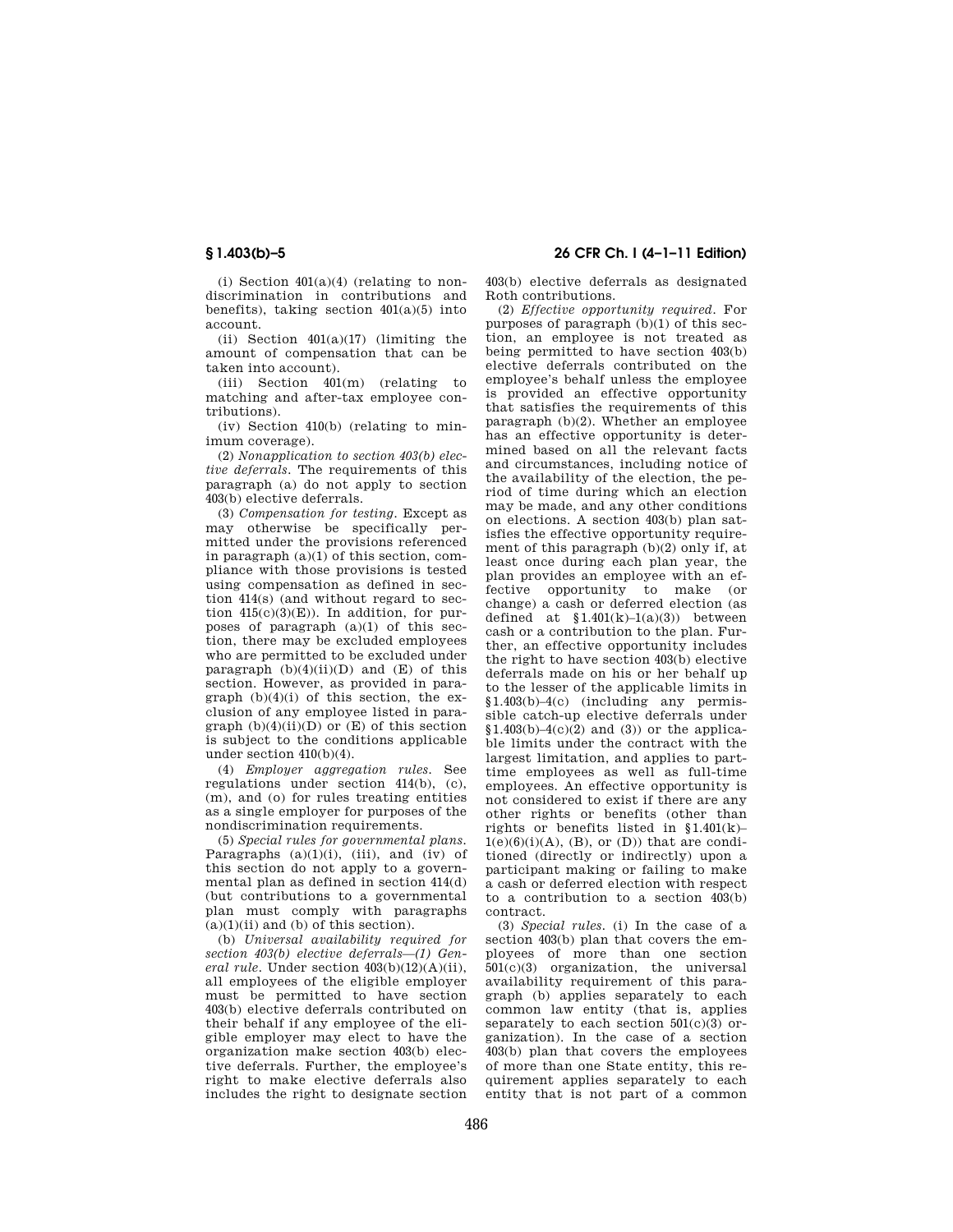(i) Section  $401(a)(4)$  (relating to nondiscrimination in contributions and benefits), taking section  $401(a)(5)$  into account.

(ii) Section  $401(a)(17)$  (limiting the amount of compensation that can be taken into account).

(iii) Section 401(m) (relating to matching and after-tax employee contributions).

(iv) Section 410(b) (relating to minimum coverage).

(2) *Nonapplication to section 403(b) elective deferrals.* The requirements of this paragraph (a) do not apply to section 403(b) elective deferrals.

(3) *Compensation for testing.* Except as may otherwise be specifically permitted under the provisions referenced in paragraph (a)(1) of this section, compliance with those provisions is tested using compensation as defined in section 414(s) (and without regard to section  $415(c)(3)(E)$ ). In addition, for purposes of paragraph (a)(1) of this section, there may be excluded employees who are permitted to be excluded under paragraph  $(b)(4)(ii)(D)$  and  $(E)$  of this section. However, as provided in paragraph  $(b)(4)(i)$  of this section, the exclusion of any employee listed in paragraph  $(b)(4)(ii)(D)$  or  $(E)$  of this section is subject to the conditions applicable under section 410(b)(4).

(4) *Employer aggregation rules.* See regulations under section 414(b), (c), (m), and (o) for rules treating entities as a single employer for purposes of the nondiscrimination requirements.

(5) *Special rules for governmental plans.*  Paragraphs  $(a)(1)(i)$ , (iii), and (iv) of this section do not apply to a governmental plan as defined in section 414(d) (but contributions to a governmental plan must comply with paragraphs  $(a)(1)(ii)$  and  $(b)$  of this section).

(b) *Universal availability required for section 403(b) elective deferrals—(1) General rule.* Under section 403(b)(12)(A)(ii), all employees of the eligible employer must be permitted to have section 403(b) elective deferrals contributed on their behalf if any employee of the eligible employer may elect to have the organization make section 403(b) elective deferrals. Further, the employee's right to make elective deferrals also includes the right to designate section

**§ 1.403(b)–5 26 CFR Ch. I (4–1–11 Edition)** 

403(b) elective deferrals as designated Roth contributions.

(2) *Effective opportunity required.* For purposes of paragraph (b)(1) of this section, an employee is not treated as being permitted to have section 403(b) elective deferrals contributed on the employee's behalf unless the employee is provided an effective opportunity that satisfies the requirements of this paragraph (b)(2). Whether an employee has an effective opportunity is determined based on all the relevant facts and circumstances, including notice of the availability of the election, the period of time during which an election may be made, and any other conditions on elections. A section 403(b) plan satisfies the effective opportunity requirement of this paragraph (b)(2) only if, at least once during each plan year, the plan provides an employee with an effective opportunity to make (or change) a cash or deferred election (as defined at  $$1.401(k)-1(a)(3)$  between cash or a contribution to the plan. Further, an effective opportunity includes the right to have section 403(b) elective deferrals made on his or her behalf up to the lesser of the applicable limits in §1.403(b)–4(c) (including any permissible catch-up elective deferrals under  $$1.403(b)–4(c)(2)$  and (3)) or the applicable limits under the contract with the largest limitation, and applies to parttime employees as well as full-time employees. An effective opportunity is not considered to exist if there are any other rights or benefits (other than rights or benefits listed in §1.401(k)–  $1(e)(6)(i)(A)$ , (B), or (D)) that are conditioned (directly or indirectly) upon a participant making or failing to make a cash or deferred election with respect to a contribution to a section 403(b) contract.

(3) *Special rules.* (i) In the case of a section 403(b) plan that covers the employees of more than one section 501(c)(3) organization, the universal availability requirement of this paragraph (b) applies separately to each common law entity (that is, applies separately to each section  $501(c)(3)$  organization). In the case of a section 403(b) plan that covers the employees of more than one State entity, this requirement applies separately to each entity that is not part of a common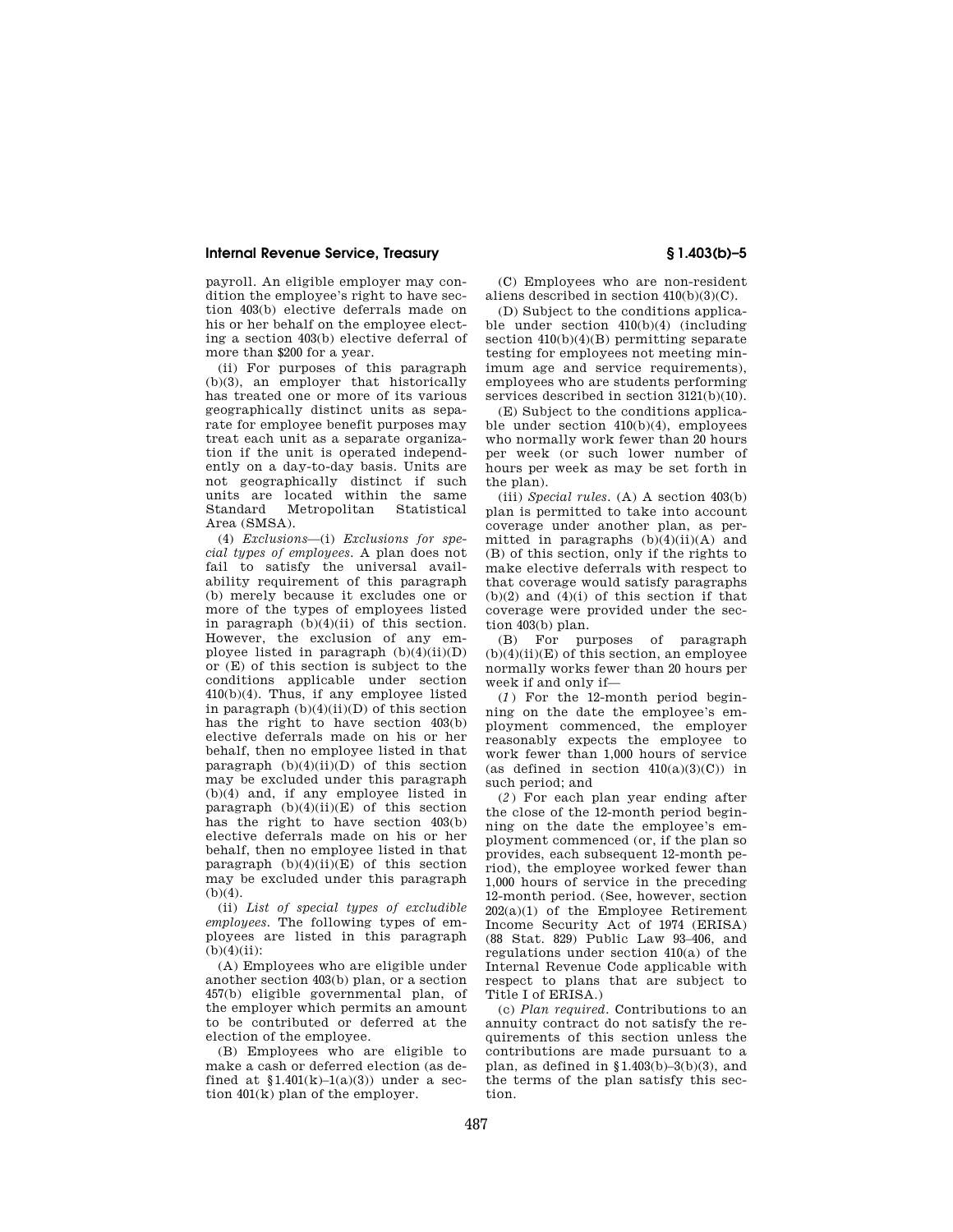## **Internal Revenue Service, Treasury § 1.403(b)–5**

payroll. An eligible employer may condition the employee's right to have section 403(b) elective deferrals made on his or her behalf on the employee electing a section 403(b) elective deferral of more than \$200 for a year.

(ii) For purposes of this paragraph (b)(3), an employer that historically has treated one or more of its various geographically distinct units as separate for employee benefit purposes may treat each unit as a separate organization if the unit is operated independently on a day-to-day basis. Units are not geographically distinct if such units are located within the same<br>Standard Metropolitan Statistical Metropolitan Area (SMSA).

(4) *Exclusions*—(i) *Exclusions for special types of employees.* A plan does not fail to satisfy the universal availability requirement of this paragraph (b) merely because it excludes one or more of the types of employees listed in paragraph  $(b)(4)(ii)$  of this section. However, the exclusion of any employee listed in paragraph  $(b)(4)(ii)(D)$ or (E) of this section is subject to the conditions applicable under section 410(b)(4). Thus, if any employee listed in paragraph  $(b)(4)(ii)(D)$  of this section has the right to have section 403(b) elective deferrals made on his or her behalf, then no employee listed in that paragraph  $(b)(4)(ii)(D)$  of this section may be excluded under this paragraph (b)(4) and, if any employee listed in paragraph  $(b)(4)(ii)(E)$  of this section has the right to have section 403(b) elective deferrals made on his or her behalf, then no employee listed in that paragraph  $(b)(4)(ii)(E)$  of this section may be excluded under this paragraph  $(b)(4)$ .

(ii) *List of special types of excludible employees.* The following types of employees are listed in this paragraph  $(b)(4)(ii)$ :

(A) Employees who are eligible under another section 403(b) plan, or a section 457(b) eligible governmental plan, of the employer which permits an amount to be contributed or deferred at the election of the employee.

(B) Employees who are eligible to make a cash or deferred election (as defined at  $1.401(k)-1(a)(3)$  under a section 401(k) plan of the employer.

(C) Employees who are non-resident aliens described in section 410(b)(3)(C).

(D) Subject to the conditions applicable under section 410(b)(4) (including section 410(b)(4)(B) permitting separate testing for employees not meeting minimum age and service requirements), employees who are students performing services described in section 3121(b)(10).

(E) Subject to the conditions applicable under section 410(b)(4), employees who normally work fewer than 20 hours per week (or such lower number of hours per week as may be set forth in the plan).

(iii) *Special rules.* (A) A section 403(b) plan is permitted to take into account coverage under another plan, as permitted in paragraphs  $(b)(4)(ii)(A)$  and (B) of this section, only if the rights to make elective deferrals with respect to that coverage would satisfy paragraphs  $(b)(2)$  and  $(4)(i)$  of this section if that coverage were provided under the section 403(b) plan.

(B) For purposes of paragraph  $(b)(4)(ii)(E)$  of this section, an employee normally works fewer than 20 hours per week if and only if—

(*1* ) For the 12-month period beginning on the date the employee's employment commenced, the employer reasonably expects the employee to work fewer than 1,000 hours of service (as defined in section  $410(a)(3)(C)$ ) in such period; and

(*2* ) For each plan year ending after the close of the 12-month period beginning on the date the employee's employment commenced (or, if the plan so provides, each subsequent 12-month period), the employee worked fewer than 1,000 hours of service in the preceding 12-month period. (See, however, section 202(a)(1) of the Employee Retirement Income Security Act of 1974 (ERISA) (88 Stat. 829) Public Law 93–406, and regulations under section 410(a) of the Internal Revenue Code applicable with respect to plans that are subject to Title I of ERISA.)

(c) *Plan required.* Contributions to an annuity contract do not satisfy the requirements of this section unless the contributions are made pursuant to a plan, as defined in  $$1.403(b)-3(b)(3)$ , and the terms of the plan satisfy this section.